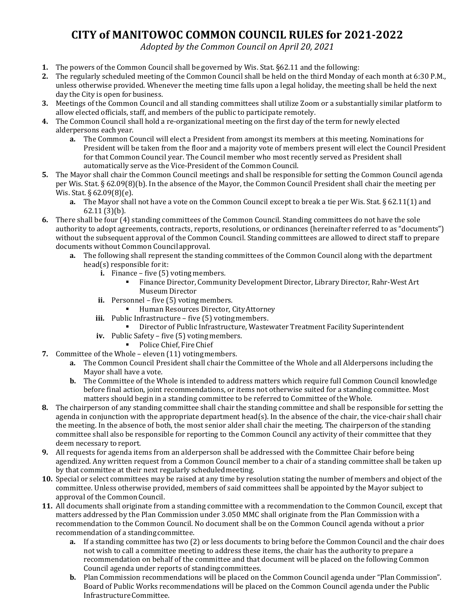## **CITY of MANITOWOC COMMON COUNCIL RULES for 2021-2022**

*Adopted by the Common Council on April 20, 2021*

- **1.** The powers of the Common Council shall be governed by Wis. Stat. §62.11 and the following:
- **2.** The regularly scheduled meeting of the Common Council shall be held on the third Monday of each month at 6:30 P.M., unless otherwise provided. Whenever the meeting time falls upon a legal holiday, the meeting shall be held the next day the City is open for business.
- **3.** Meetings of the Common Council and all standing committees shall utilize Zoom or a substantially similar platform to allow elected officials, staff, and members of the public to participate remotely.
- **4.** The Common Council shall hold a re-organizational meeting on the first day of the term for newly elected alderpersons each year.
	- **a.** The Common Council will elect a President from amongst its members at this meeting. Nominations for President will be taken from the floor and a majority vote of members present will elect the Council President for that Common Council year. The Council member who most recently served as President shall automatically serve as the Vice-President of the Common Council.
- **5.** The Mayor shall chair the Common Council meetings and shall be responsible for setting the Common Council agenda per Wis. Stat. § 62.09(8)(b). In the absence of the Mayor, the Common Council President shall chair the meeting per Wis. Stat. § 62.09(8)(e).
	- **a.** The Mayor shall not have a vote on the Common Council except to break a tie per Wis. Stat. § 62.11(1) and 62.11 (3)(b).
- **6.** There shall be four (4) standing committees of the Common Council. Standing committees do not have the sole authority to adopt agreements, contracts, reports, resolutions, or ordinances (hereinafter referred to as "documents") without the subsequent approval of the Common Council. Standing committees are allowed to direct staff to prepare documents without Common Councilapproval.
	- **a.** The following shall represent the standing committees of the Common Council along with the department head(s) responsible for it:
		- **i.** Finance five (5) voting members.
			- Finance Director, Community Development Director, Library Director, Rahr-West Art Museum Director
		- ii. Personnel five (5) voting members.
			- **Human Resources Director, City Attorney**
		- iii. Public Infrastructure five (5) voting members.
			- Director of Public Infrastructure, Wastewater Treatment Facility Superintendent
		- **iv.** Public Safety five (5) votingmembers.
			- **•** Police Chief, Fire Chief
- **7.** Committee of the Whole eleven (11) votingmembers.
	- **a.** The Common Council President shall chair the Committee of the Whole and all Alderpersons including the Mayor shall have a vote.
	- **b.** The Committee of the Whole is intended to address matters which require full Common Council knowledge before final action, joint recommendations, or items not otherwise suited for a standing committee. Most matters should begin in a standing committee to be referred to Committee of the Whole.
- **8.** The chairperson of any standing committee shall chair the standing committee and shall be responsible for setting the agenda in conjunction with the appropriate department head(s). In the absence of the chair, the vice-chair shall chair the meeting. In the absence of both, the most senior alder shall chair the meeting. The chairperson of the standing committee shall also be responsible for reporting to the Common Council any activity of their committee that they deem necessary to report.
- **9.** All requests for agenda items from an alderperson shall be addressed with the Committee Chair before being agendized. Any written request from a Common Council member to a chair of a standing committee shall be taken up by that committee at their next regularly scheduledmeeting.
- **10.** Special or select committees may be raised at any time by resolution stating the number of members and object of the committee. Unless otherwise provided, members of said committees shall be appointed by the Mayor subject to approval of the Common Council.
- **11.** All documents shall originate from a standing committee with a recommendation to the Common Council, except that matters addressed by the Plan Commission under 3.050 MMC shall originate from the Plan Commission with a recommendation to the Common Council. No document shall be on the Common Council agenda without a prior recommendation of a standingcommittee.
	- **a.** If a standing committee has two (2) or less documents to bring before the Common Council and the chair does not wish to call a committee meeting to address these items, the chair has the authority to prepare a recommendation on behalf of the committee and that document will be placed on the following Common Council agenda under reports of standingcommittees.
	- **b.** Plan Commission recommendations will be placed on the Common Council agenda under "Plan Commission". Board of Public Works recommendations will be placed on the Common Council agenda under the Public InfrastructureCommittee.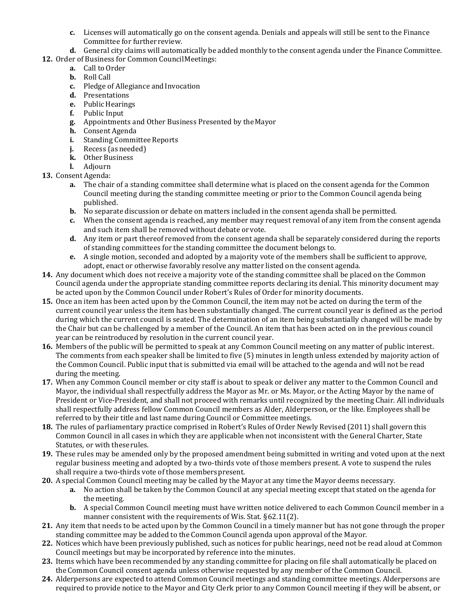- **c.** Licenses will automatically go on the consent agenda. Denials and appeals will still be sent to the Finance Committee for further review.
- **d.** General city claims will automatically be added monthly to the consent agenda under the Finance Committee.
- 12. Order of Business for Common Council Meetings:
	- **a.** Call to Order
	- **b.** Roll Call
	- **c.** Pledge of Allegiance and Invocation
	- **d.** Presentations
	- **e.** Public Hearings
	- **f.** Public Input
	- **g.** Appointments and Other Business Presented by theMayor
	- **h.** Consent Agenda
	- **i.** Standing Committee Reports<br>**j.** Recess (as needed)
	- **j.** Recess (as needed)
	- **k.** Other Business
	- **l.** Adjourn
- **13.** Consent Agenda:
	- **a.** The chair of a standing committee shall determine what is placed on the consent agenda for the Common Council meeting during the standing committee meeting or prior to the Common Council agenda being published.
	- **b.** No separate discussion or debate on matters included in the consent agenda shall be permitted.
	- **c.** When the consent agenda is reached, any member may request removal of any item from the consent agenda and such item shall be removed without debate orvote.
	- **d.** Any item or part thereof removed from the consent agenda shall be separately considered during the reports of standing committees for the standing committee the document belongs to.
	- **e.** A single motion, seconded and adopted by a majority vote of the members shall be sufficient to approve, adopt, enact or otherwise favorably resolve any matter listed on the consent agenda.
- **14.** Any document which does not receive a majority vote of the standing committee shall be placed on the Common Council agenda under the appropriate standing committee reports declaring its denial. This minority document may be acted upon by the Common Council under Robert's Rules of Order for minority documents.
- **15.** Once an item has been acted upon by the Common Council, the item may not be acted on during the term of the current council year unless the item has been substantially changed. The current council year is defined as the period during which the current council is seated. The determination of an item being substantially changed will be made by the Chair but can be challenged by a member of the Council. An item that has been acted on in the previous council year can be reintroduced by resolution in the current council year.
- **16.** Members of the public will be permitted to speak at any Common Council meeting on any matter of public interest. The comments from each speaker shall be limited to five (5) minutes in length unless extended by majority action of the Common Council. Public input that is submitted via email will be attached to the agenda and will not be read during the meeting.
- **17.** When any Common Council member or city staff is about to speak or deliver any matter to the Common Council and Mayor, the individual shall respectfully address the Mayor as Mr. or Ms. Mayor, or the Acting Mayor by the name of President or Vice-President, and shall not proceed with remarks until recognized by the meeting Chair. All individuals shall respectfully address fellow Common Council members as Alder, Alderperson, or the like. Employees shall be referred to by their title and last name during Council or Committee meetings.
- **18.** The rules of parliamentary practice comprised in Robert's Rules of Order Newly Revised (2011) shall govern this Common Council in all cases in which they are applicable when not inconsistent with the General Charter, State Statutes, or with these rules.
- **19.** These rules may be amended only by the proposed amendment being submitted in writing and voted upon at the next regular business meeting and adopted by a two-thirds vote of those members present. A vote to suspend the rules shall require a two-thirds vote of those members present.
- **20.** A special Common Council meeting may be called by the Mayor at any time the Mayor deems necessary.
	- **a.** No action shall be taken by the Common Council at any special meeting except that stated on the agenda for the meeting.
	- **b.** A special Common Council meeting must have written notice delivered to each Common Council member in a manner consistent with the requirements of Wis. Stat. §62.11(2).
- **21.** Any item that needs to be acted upon by the Common Council in a timely manner but has not gone through the proper standing committee may be added to the Common Council agenda upon approval of the Mayor.
- **22.** Notices which have been previously published, such as notices for public hearings, need not be read aloud at Common Council meetings but may be incorporated by reference into the minutes.
- **23.** Items which have been recommended by any standing committee for placing on file shall automatically be placed on the Common Council consent agenda unless otherwise requested by any member of the Common Council.
- **24.** Alderpersons are expected to attend Common Council meetings and standing committee meetings. Alderpersons are required to provide notice to the Mayor and City Clerk prior to any Common Council meeting if they will be absent, or